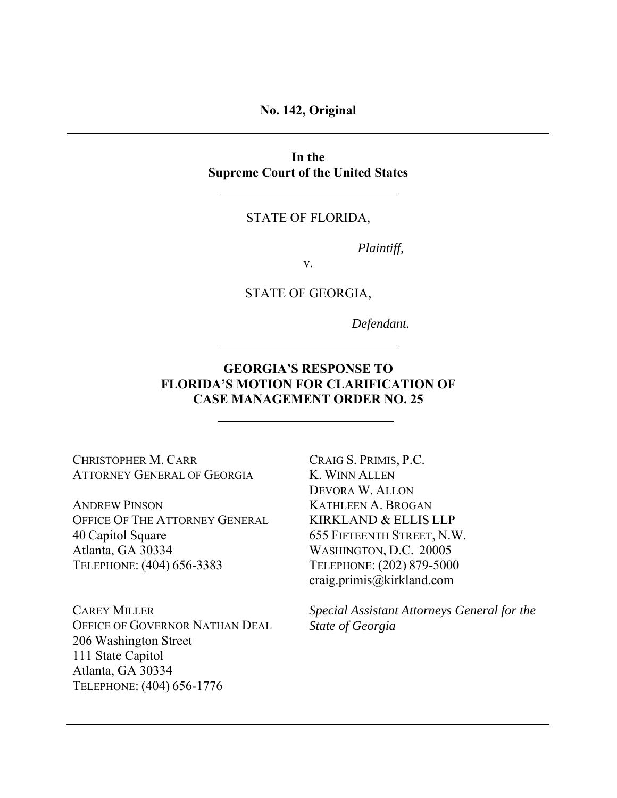**No. 142, Original** 

**In the Supreme Court of the United States** 

STATE OF FLORIDA,

*Plaintiff,* 

v.

STATE OF GEORGIA,

*Defendant.* 

# **GEORGIA'S RESPONSE TO FLORIDA'S MOTION FOR CLARIFICATION OF CASE MANAGEMENT ORDER NO. 25**

CHRISTOPHER M. CARR ATTORNEY GENERAL OF GEORGIA

ANDREW PINSON OFFICE OF THE ATTORNEY GENERAL 40 Capitol Square Atlanta, GA 30334 TELEPHONE: (404) 656-3383

CAREY MILLER OFFICE OF GOVERNOR NATHAN DEAL 206 Washington Street 111 State Capitol Atlanta, GA 30334 TELEPHONE: (404) 656-1776

CRAIG S. PRIMIS, P.C. K. WINN ALLEN DEVORA W. ALLON KATHLEEN A. BROGAN KIRKLAND & ELLIS LLP 655 FIFTEENTH STREET, N.W. WASHINGTON, D.C. 20005 TELEPHONE: (202) 879-5000 craig.primis@kirkland.com

*Special Assistant Attorneys General for the State of Georgia*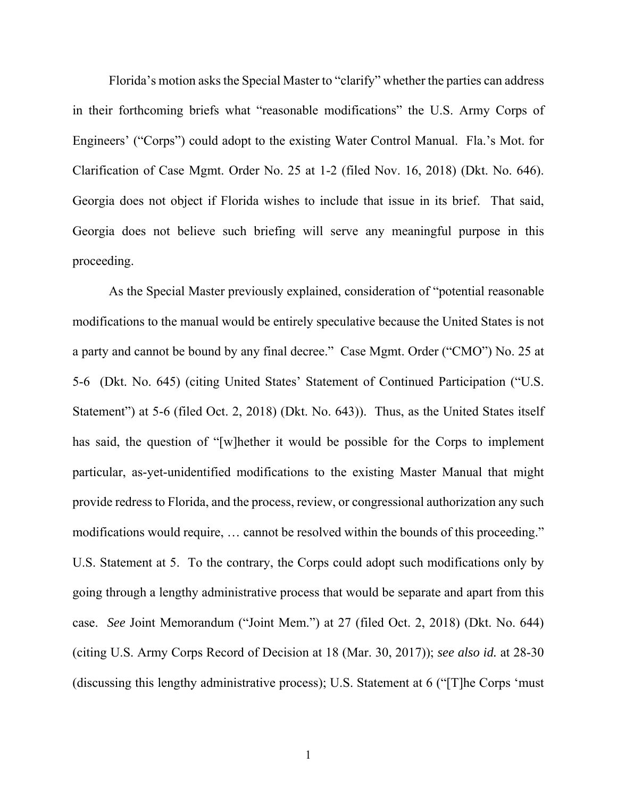Florida's motion asks the Special Master to "clarify" whether the parties can address in their forthcoming briefs what "reasonable modifications" the U.S. Army Corps of Engineers' ("Corps") could adopt to the existing Water Control Manual. Fla.'s Mot. for Clarification of Case Mgmt. Order No. 25 at 1-2 (filed Nov. 16, 2018) (Dkt. No. 646). Georgia does not object if Florida wishes to include that issue in its brief. That said, Georgia does not believe such briefing will serve any meaningful purpose in this proceeding.

As the Special Master previously explained, consideration of "potential reasonable modifications to the manual would be entirely speculative because the United States is not a party and cannot be bound by any final decree." Case Mgmt. Order ("CMO") No. 25 at 5-6 (Dkt. No. 645) (citing United States' Statement of Continued Participation ("U.S. Statement") at 5-6 (filed Oct. 2, 2018) (Dkt. No. 643)). Thus, as the United States itself has said, the question of "[w]hether it would be possible for the Corps to implement particular, as-yet-unidentified modifications to the existing Master Manual that might provide redress to Florida, and the process, review, or congressional authorization any such modifications would require, … cannot be resolved within the bounds of this proceeding." U.S. Statement at 5. To the contrary, the Corps could adopt such modifications only by going through a lengthy administrative process that would be separate and apart from this case. *See* Joint Memorandum ("Joint Mem.") at 27 (filed Oct. 2, 2018) (Dkt. No. 644) (citing U.S. Army Corps Record of Decision at 18 (Mar. 30, 2017)); *see also id.* at 28-30 (discussing this lengthy administrative process); U.S. Statement at 6 ("[T]he Corps 'must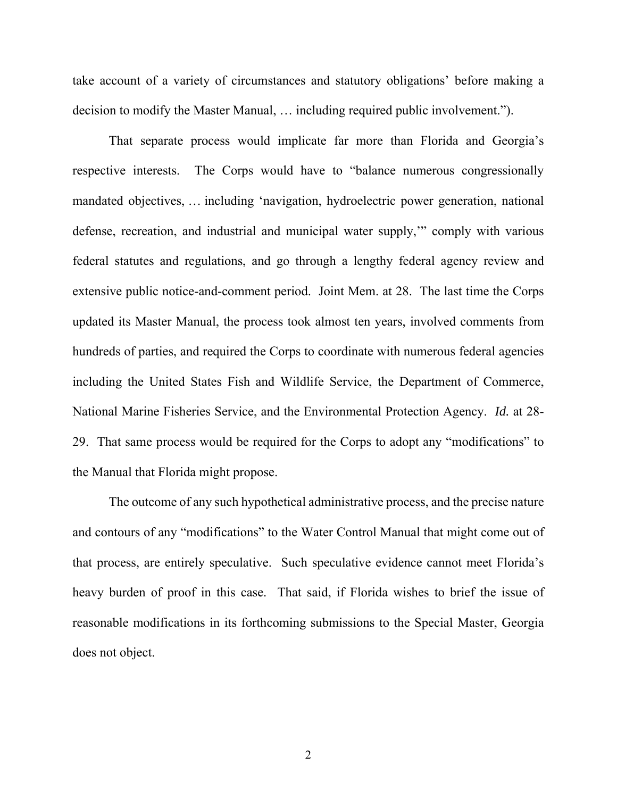take account of a variety of circumstances and statutory obligations' before making a decision to modify the Master Manual, … including required public involvement.").

That separate process would implicate far more than Florida and Georgia's respective interests. The Corps would have to "balance numerous congressionally mandated objectives, … including 'navigation, hydroelectric power generation, national defense, recreation, and industrial and municipal water supply,'" comply with various federal statutes and regulations, and go through a lengthy federal agency review and extensive public notice-and-comment period. Joint Mem. at 28. The last time the Corps updated its Master Manual, the process took almost ten years, involved comments from hundreds of parties, and required the Corps to coordinate with numerous federal agencies including the United States Fish and Wildlife Service, the Department of Commerce, National Marine Fisheries Service, and the Environmental Protection Agency. *Id.* at 28- 29. That same process would be required for the Corps to adopt any "modifications" to the Manual that Florida might propose.

The outcome of any such hypothetical administrative process, and the precise nature and contours of any "modifications" to the Water Control Manual that might come out of that process, are entirely speculative. Such speculative evidence cannot meet Florida's heavy burden of proof in this case. That said, if Florida wishes to brief the issue of reasonable modifications in its forthcoming submissions to the Special Master, Georgia does not object.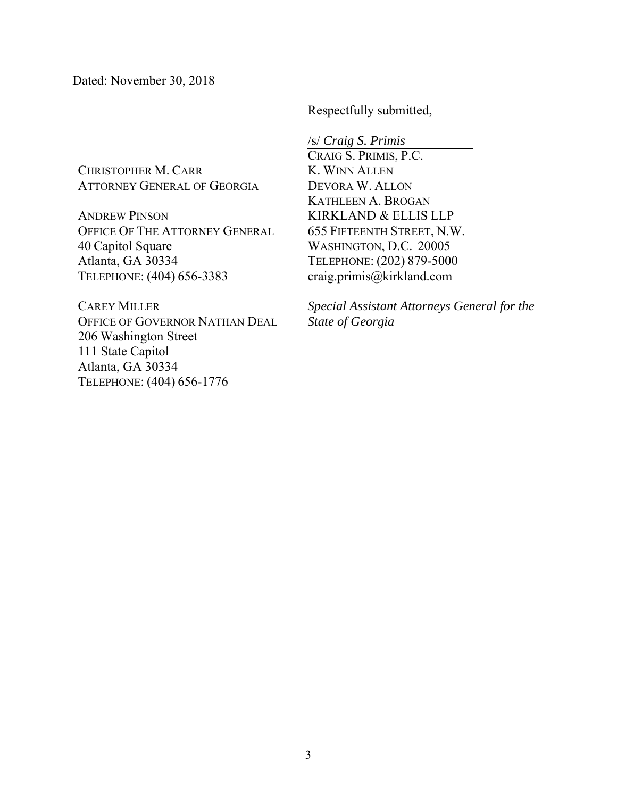Dated: November 30, 2018

Respectfully submitted,

CHRISTOPHER M. CARR ATTORNEY GENERAL OF GEORGIA

ANDREW PINSON OFFICE OF THE ATTORNEY GENERAL 40 Capitol Square Atlanta, GA 30334 TELEPHONE: (404) 656-3383

CAREY MILLER OFFICE OF GOVERNOR NATHAN DEAL 206 Washington Street 111 State Capitol Atlanta, GA 30334 TELEPHONE: (404) 656-1776

/s/ *Craig S. Primis*  CRAIG S. PRIMIS, P.C. K. WINN ALLEN DEVORA W. ALLON KATHLEEN A. BROGAN KIRKLAND & ELLIS LLP 655 FIFTEENTH STREET, N.W. WASHINGTON, D.C. 20005 TELEPHONE: (202) 879-5000 craig.primis@kirkland.com

*Special Assistant Attorneys General for the State of Georgia*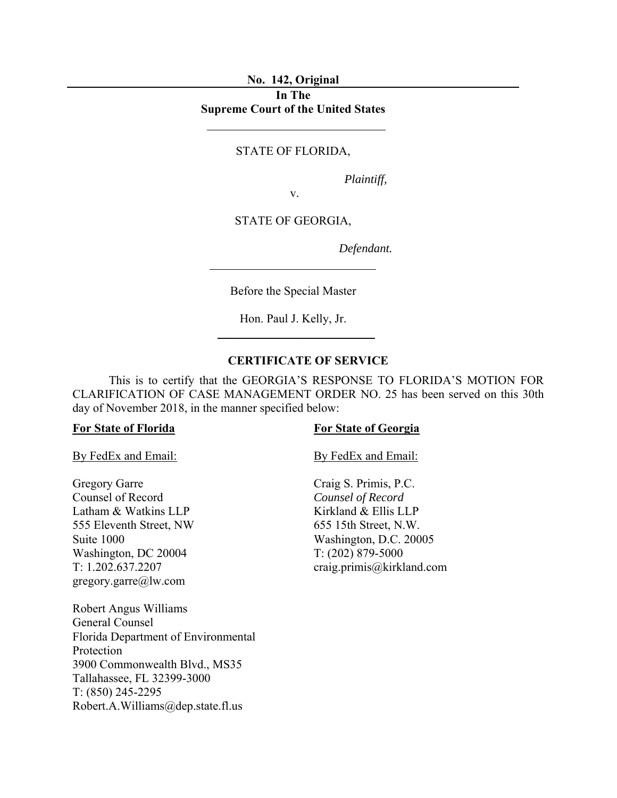### **No. 142, Original**

# **In The Supreme Court of the United States**

## STATE OF FLORIDA,

*Plaintiff,* 

v.

STATE OF GEORGIA,

*Defendant.* 

Before the Special Master

Hon. Paul J. Kelly, Jr.  $\mathcal{L}=\mathcal{L}^{\mathcal{L}}$  , where  $\mathcal{L}^{\mathcal{L}}$ 

# **CERTIFICATE OF SERVICE**

 This is to certify that the GEORGIA'S RESPONSE TO FLORIDA'S MOTION FOR CLARIFICATION OF CASE MANAGEMENT ORDER NO. 25 has been served on this 30th day of November 2018, in the manner specified below:

Gregory Garre Counsel of Record Latham & Watkins LLP 555 Eleventh Street, NW Suite 1000 Washington, DC 20004 T: 1.202.637.2207 gregory.garre@lw.com

Robert Angus Williams General Counsel Florida Department of Environmental Protection 3900 Commonwealth Blvd., MS35 Tallahassee, FL 32399-3000 T: (850) 245-2295 Robert.A.Williams@dep.state.fl.us

### **For State of Florida For State of Georgia**

By FedEx and Email: By FedEx and Email:

Craig S. Primis, P.C. *Counsel of Record* Kirkland & Ellis LLP 655 15th Street, N.W. Washington, D.C. 20005 T: (202) 879-5000 craig.primis@kirkland.com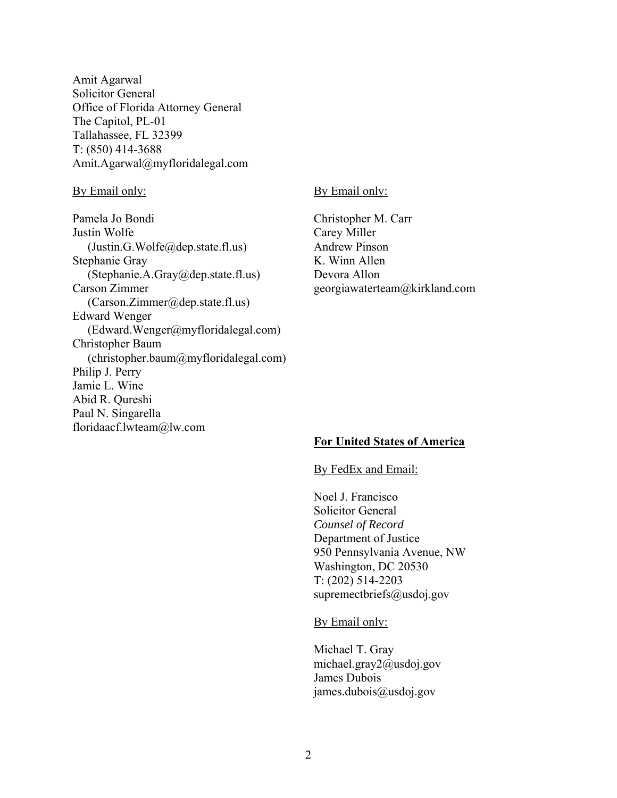Amit Agarwal Solicitor General Office of Florida Attorney General The Capitol, PL-01 Tallahassee, FL 32399 T: (850) 414-3688 Amit.Agarwal@myfloridalegal.com

Pamela Jo Bondi Justin Wolfe (Justin.G.Wolfe@dep.state.fl.us) Stephanie Gray (Stephanie.A.Gray@dep.state.fl.us) Carson Zimmer (Carson.Zimmer@dep.state.fl.us) Edward Wenger (Edward.Wenger@myfloridalegal.com) Christopher Baum (christopher.baum@myfloridalegal.com) Philip J. Perry Jamie L. Wine Abid R. Qureshi Paul N. Singarella floridaacf.lwteam@lw.com

### By Email only: By Email only:

Christopher M. Carr Carey Miller Andrew Pinson K. Winn Allen Devora Allon georgiawaterteam@kirkland.com

## **For United States of America**

### By FedEx and Email:

 Noel J. Francisco Solicitor General *Counsel of Record* Department of Justice 950 Pennsylvania Avenue, NW Washington, DC 20530 T: (202) 514-2203 supremectbriefs@usdoj.gov

By Email only:

 Michael T. Gray michael.gray2@usdoj.gov James Dubois james.dubois@usdoj.gov